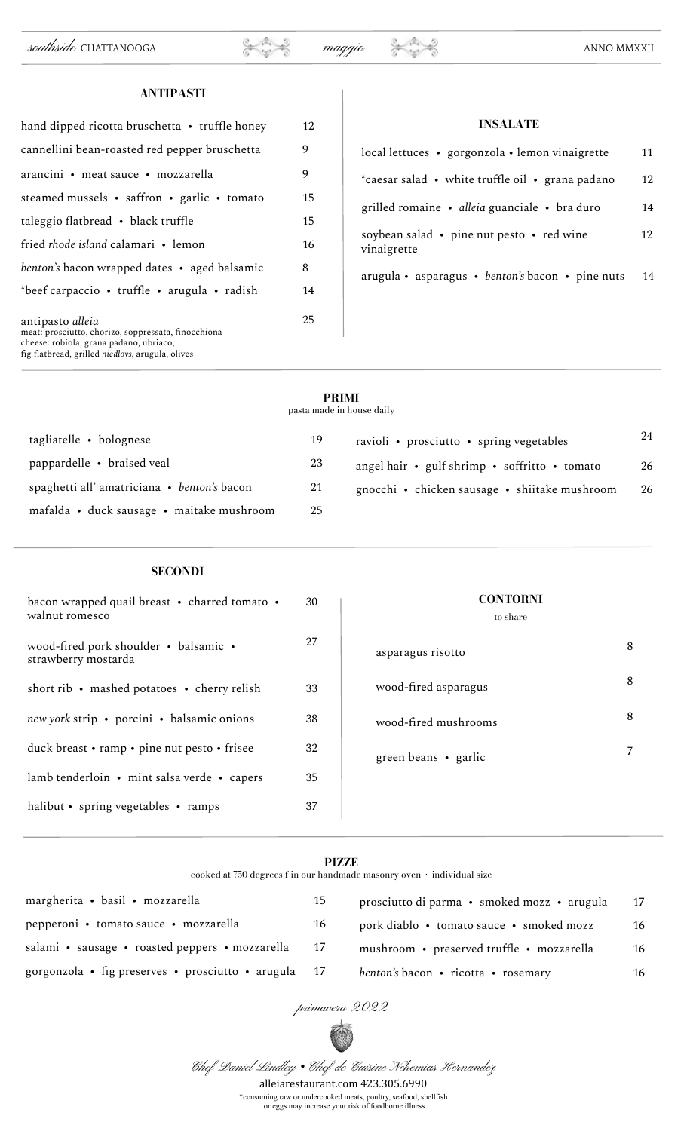## **ANTIPASTI**

| hand dipped ricotta bruschetta • truffle honey                                                                                                                         | 12 |
|------------------------------------------------------------------------------------------------------------------------------------------------------------------------|----|
| cannellini bean-roasted red pepper bruschetta                                                                                                                          | 9  |
| arancini • meat sauce • mozzarella                                                                                                                                     | 9  |
| steamed mussels • saffron • garlic • tomato                                                                                                                            | 15 |
| taleggio flatbread • black truffle                                                                                                                                     | 15 |
| fried rhode island calamari • lemon                                                                                                                                    | 16 |
| benton's bacon wrapped dates • aged balsamic                                                                                                                           | 8  |
| *beef carpaccio • truffle • arugula • radish                                                                                                                           | 14 |
| antipasto alleia<br>meat: prosciutto, chorizo, soppressata, finocchiona<br>cheese: robiola, grana padano, ubriaco,<br>fig flatbread, grilled niedlovs, arugula, olives | 25 |

| <b>INSALATE</b>                                          |    |  |  |
|----------------------------------------------------------|----|--|--|
| local lettuces • gorgonzola • lemon vinaigrette          | 11 |  |  |
| *caesar salad • white truffle oil • grana padano         | 12 |  |  |
| grilled romaine • alleia guanciale • bra duro            | 14 |  |  |
| soybean salad • pine nut pesto • red wine<br>vinaigrette | 12 |  |  |
| arugula • asparagus • benton's bacon • pine nuts         | 14 |  |  |

## **PRIMI**

pasta made in house daily

| tagliatelle • bolognese                    | 19 | ravioli • prosciutto • spring vegetables      | 24 |
|--------------------------------------------|----|-----------------------------------------------|----|
| pappardelle • braised veal                 | 23 | angel hair • gulf shrimp • soffritto • tomato | 26 |
| spaghetti all'amatriciana • benton's bacon | 21 | gnocchi • chicken sausage • shiitake mushroom | 26 |
| mafalda • duck sausage • maitake mushroom  | 25 |                                               |    |

# **SECONDI**

| bacon wrapped quail breast • charred tomato •<br>walnut romesco | 30 | <b>CONTORNI</b><br>to share |   |
|-----------------------------------------------------------------|----|-----------------------------|---|
| wood-fired pork shoulder • balsamic •<br>strawberry mostarda    | 27 | asparagus risotto           | 8 |
| short rib $\cdot$ mashed potatoes $\cdot$ cherry relish         | 33 | wood-fired asparagus        | 8 |
| new york strip • porcini • balsamic onions                      | 38 | wood-fired mushrooms        | 8 |
| duck breast • ramp • pine nut pesto • frisee                    | 32 | green beans • garlic        |   |
| lamb tenderloin • mint salsa verde • capers                     | 35 |                             |   |
| halibut • spring vegetables • ramps                             | 37 |                             |   |

#### **PIZZE**

cooked at 750 degrees f in our handmade masonry oven  $\,\cdot\,$  individual size

| margherita • basil • mozzarella                      | 15 | prosciutto di parma · smoked mozz · arugula | 17 |
|------------------------------------------------------|----|---------------------------------------------|----|
| pepperoni • tomato sauce • mozzarella                | 16 | pork diablo • tomato sauce • smoked mozz    | 16 |
| salami • sausage • roasted peppers • mozzarella 17   |    | mushroom • preserved truffle • mozzarella   | 16 |
| gorgonzola • fig preserves • prosciutto • arugula 17 |    | benton's bacon • ricotta • rosemary         | 16 |

primavera 2022



Chef Daniel Lindley *•* Chef de Cuisine Nehemias Hernandez

alleiarestaurant.com 423.305.6990 \*consuming raw or undercooked meats, poultry, seafood, shellfish

or eggs may increase your risk of foodborne illness